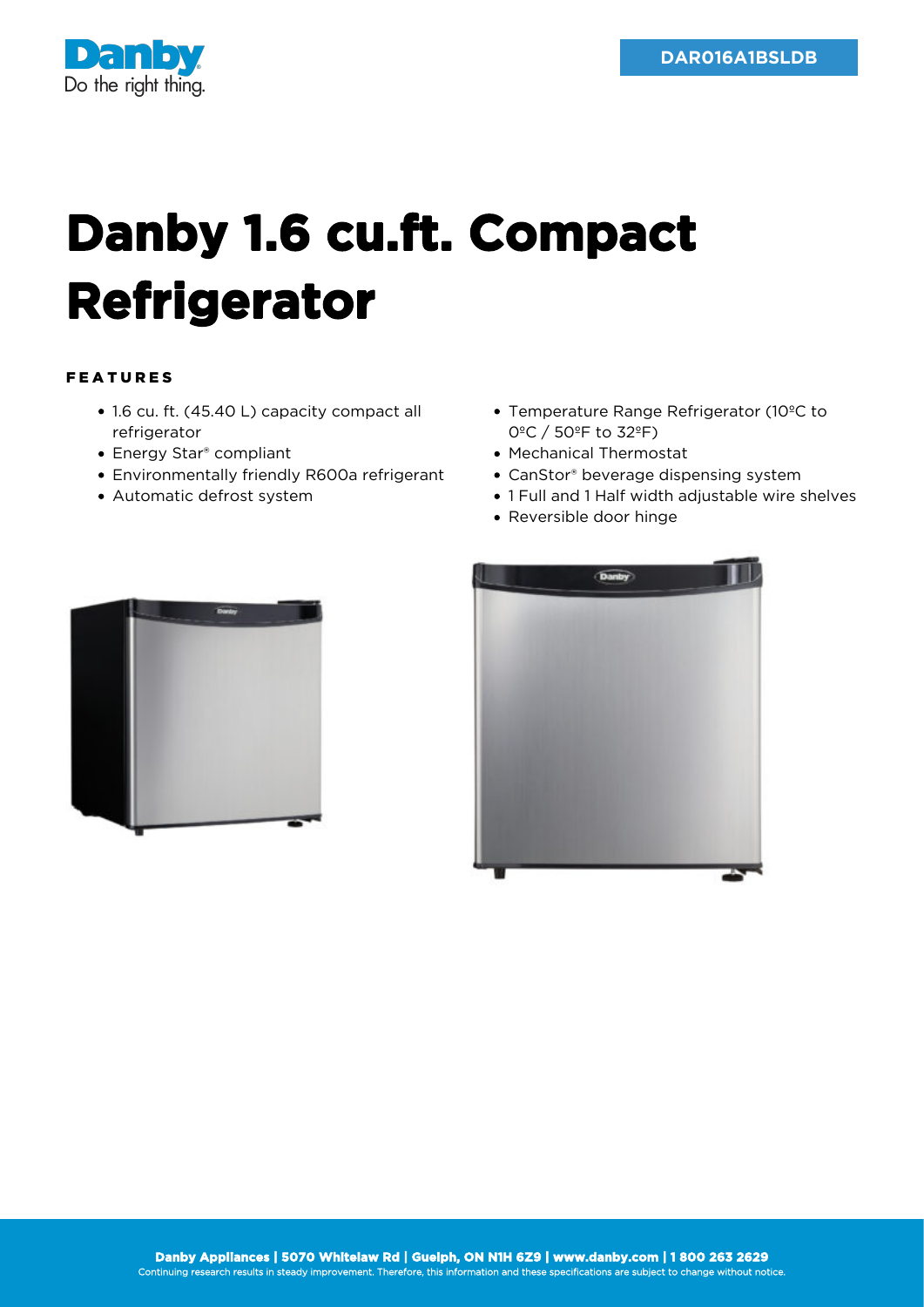

## **Danby 1.6 cu.ft. Compact Refrigerator**

## FEATURES

- 1.6 cu. ft. (45.40 L) capacity compact all refrigerator
- Energy Star® compliant
- Environmentally friendly R600a refrigerant
- Automatic defrost system
- Temperature Range Refrigerator (10ºC to 0ºC / 50ºF to 32ºF)
- Mechanical Thermostat
- CanStor® beverage dispensing system
- 1 Full and 1 Half width adjustable wire shelves
- Reversible door hinge